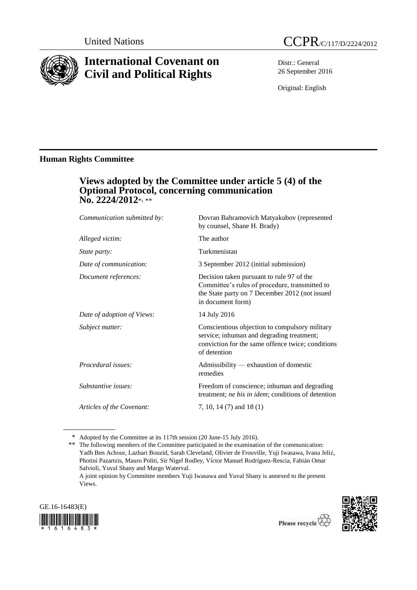

# **International Covenant on Civil and Political Rights**

Distr.: General 26 September 2016

Original: English

### **Human Rights Committee**

### **Views adopted by the Committee under article 5 (4) of the Optional Protocol, concerning communication No. 2224/2012**\*, \*\*

| Communication submitted by: | Dovran Bahramovich Matyakubov (represented<br>by counsel, Shane H. Brady)                                                                                          |
|-----------------------------|--------------------------------------------------------------------------------------------------------------------------------------------------------------------|
| Alleged victim:             | The author                                                                                                                                                         |
| <i>State party:</i>         | Turkmenistan                                                                                                                                                       |
| Date of communication:      | 3 September 2012 (initial submission)                                                                                                                              |
| Document references:        | Decision taken pursuant to rule 97 of the<br>Committee's rules of procedure, transmitted to<br>the State party on 7 December 2012 (not issued<br>in document form) |
| Date of adoption of Views:  | 14 July 2016                                                                                                                                                       |
| Subject matter:             | Conscientious objection to compulsory military<br>service; inhuman and degrading treatment;<br>conviction for the same offence twice; conditions<br>of detention   |
| Procedural issues:          | Admissibility — exhaustion of domestic<br>remedies                                                                                                                 |
| Substantive issues:         | Freedom of conscience; inhuman and degrading<br>treatment; ne bis in idem; conditions of detention                                                                 |
| Articles of the Covenant:   | 7, 10, 14 (7) and 18 (1)                                                                                                                                           |
|                             |                                                                                                                                                                    |

\* Adopted by the Committee at its 117th session (20 June-15 July 2016).

\*\* The following members of the Committee participated in the examination of the communication: Yadh Ben Achour, Lazhari Bouzid, Sarah Cleveland, Olivier de Frouville, Yuji Iwasawa, Ivana Jelić, Photini Pazartzis, Mauro Politi, Sir Nigel Rodley, Víctor Manuel Rodríguez-Rescia, Fabián Omar Salvioli, Yuval Shany and Margo Waterval.

A joint opinion by Committee members Yuji Iwasawa and Yuval Shany is annexed to the present Views.



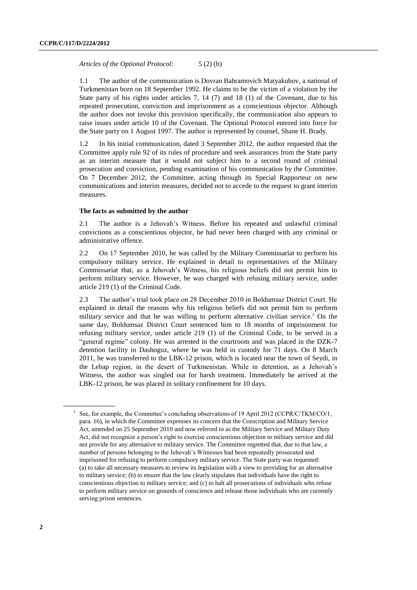*Articles of the Optional Protocol:* 5 (2) (b)

1.1 The author of the communication is Dovran Bahramovich Matyakubov, a national of Turkmenistan born on 18 September 1992. He claims to be the victim of a violation by the State party of his rights under articles 7, 14 (7) and 18 (1) of the Covenant, due to his repeated prosecution, conviction and imprisonment as a conscientious objector. Although the author does not invoke this provision specifically, the communication also appears to raise issues under article 10 of the Covenant. The Optional Protocol entered into force for the State party on 1 August 1997. The author is represented by counsel, Shane H. Brady.

1.2 In his initial communication, dated 3 September 2012, the author requested that the Committee apply rule 92 of its rules of procedure and seek assurances from the State party as an interim measure that it would not subject him to a second round of criminal prosecution and conviction, pending examination of his communication by the Committee. On 7 December 2012, the Committee, acting through its Special Rapporteur on new communications and interim measures, decided not to accede to the request to grant interim measures.

#### **The facts as submitted by the author**

2.1 The author is a Jehovah's Witness. Before his repeated and unlawful criminal convictions as a conscientious objector, he had never been charged with any criminal or administrative offence.

2.2 On 17 September 2010, he was called by the Military Commissariat to perform his compulsory military service. He explained in detail to representatives of the Military Commissariat that, as a Jehovah's Witness, his religious beliefs did not permit him to perform military service. However, he was charged with refusing military service, under article 219 (1) of the Criminal Code.

2.3 The author's trial took place on 28 December 2010 in Boldumsaz District Court. He explained in detail the reasons why his religious beliefs did not permit him to perform military service and that he was willing to perform alternative civilian service.<sup>1</sup> On the same day, Boldumsaz District Court sentenced him to 18 months of imprisonment for refusing military service, under article 219 (1) of the Criminal Code, to be served in a "general regime" colony. He was arrested in the courtroom and was placed in the DZK-7 detention facility in Dashoguz, where he was held in custody for 71 days. On 8 March 2011, he was transferred to the LBK-12 prison, which is located near the town of Seydi, in the Lebap region, in the desert of Turkmenistan. While in detention, as a Jehovah's Witness, the author was singled out for harsh treatment. Immediately he arrived at the LBK-12 prison, he was placed in solitary confinement for 10 days.

<sup>1</sup> See, for example, the Committee's concluding observations of 19 April 2012 (CCPR/C/TKM/CO/1, para. 16), in which the Committee expresses its concern that the Conscription and Military Service Act, amended on 25 September 2010 and now referred to as the Military Service and Military Duty Act, did not recognize a person's right to exercise conscientious objection to military service and did not provide for any alternative to military service. The Committee regretted that, due to that law, a number of persons belonging to the Jehovah's Witnesses had been repeatedly prosecuted and imprisoned for refusing to perform compulsory military service. The State party was requested: (a) to take all necessary measures to review its legislation with a view to providing for an alternative to military service; (b) to ensure that the law clearly stipulates that individuals have the right to conscientious objection to military service; and (c) to halt all prosecutions of individuals who refuse to perform military service on grounds of conscience and release those individuals who are currently serving prison sentences.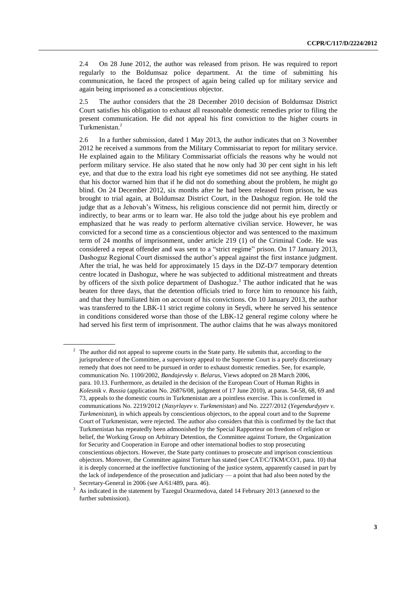2.4 On 28 June 2012, the author was released from prison. He was required to report regularly to the Boldumsaz police department. At the time of submitting his communication, he faced the prospect of again being called up for military service and again being imprisoned as a conscientious objector.

2.5 The author considers that the 28 December 2010 decision of Boldumsaz District Court satisfies his obligation to exhaust all reasonable domestic remedies prior to filing the present communication. He did not appeal his first conviction to the higher courts in Turkmenistan.<sup>2</sup>

2.6 In a further submission, dated 1 May 2013, the author indicates that on 3 November 2012 he received a summons from the Military Commissariat to report for military service. He explained again to the Military Commissariat officials the reasons why he would not perform military service. He also stated that he now only had 30 per cent sight in his left eye, and that due to the extra load his right eye sometimes did not see anything. He stated that his doctor warned him that if he did not do something about the problem, he might go blind. On 24 December 2012, six months after he had been released from prison, he was brought to trial again, at Boldumsaz District Court, in the Dashoguz region. He told the judge that as a Jehovah's Witness, his religious conscience did not permit him, directly or indirectly, to bear arms or to learn war. He also told the judge about his eye problem and emphasized that he was ready to perform alternative civilian service. However, he was convicted for a second time as a conscientious objector and was sentenced to the maximum term of 24 months of imprisonment, under article 219 (1) of the Criminal Code. He was considered a repeat offender and was sent to a "strict regime" prison. On 17 January 2013, Dashoguz Regional Court dismissed the author's appeal against the first instance judgment. After the trial, he was held for approximately 15 days in the DZ-D/7 temporary detention centre located in Dashoguz, where he was subjected to additional mistreatment and threats by officers of the sixth police department of Dashoguz.<sup>3</sup> The author indicated that he was beaten for three days, that the detention officials tried to force him to renounce his faith, and that they humiliated him on account of his convictions. On 10 January 2013, the author was transferred to the LBK-11 strict regime colony in Seydi, where he served his sentence in conditions considered worse than those of the LBK-12 general regime colony where he had served his first term of imprisonment. The author claims that he was always monitored

 $2\degree$  The author did not appeal to supreme courts in the State party. He submits that, according to the jurisprudence of the Committee, a supervisory appeal to the Supreme Court is a purely discretionary remedy that does not need to be pursued in order to exhaust domestic remedies. See, for example, communication No. 1100/2002, *Bandajevsky v. Belarus*, Views adopted on 28 March 2006, para. 10.13. Furthermore, as detailed in the decision of the European Court of Human Rights in *Kolesnik v. Russia* (application No. 26876/08, judgment of 17 June 2010), at paras. 54-58, 68, 69 and 73, appeals to the domestic courts in Turkmenistan are a pointless exercise. This is confirmed in communications No. 2219/2012 (*Nasyrlayev v. Turkmenistan*) and No. 2227/2012 (*Yegendurdyyev v. Turkmenistan*), in which appeals by conscientious objectors, to the appeal court and to the Supreme Court of Turkmenistan, were rejected. The author also considers that this is confirmed by the fact that Turkmenistan has repeatedly been admonished by the Special Rapporteur on freedom of religion or belief, the Working Group on Arbitrary Detention, the Committee against Torture, the Organization for Security and Cooperation in Europe and other international bodies to stop prosecuting conscientious objectors. However, the State party continues to prosecute and imprison conscientious objectors. Moreover, the Committee against Torture has stated (see CAT/C/TKM/CO/1, para. 10) that it is deeply concerned at the ineffective functioning of the justice system, apparently caused in part by the lack of independence of the prosecution and judiciary — a point that had also been noted by the Secretary-General in 2006 (see A/61/489, para. 46).

<sup>&</sup>lt;sup>3</sup> As indicated in the statement by Tazegul Orazmedova, dated 14 February 2013 (annexed to the further submission).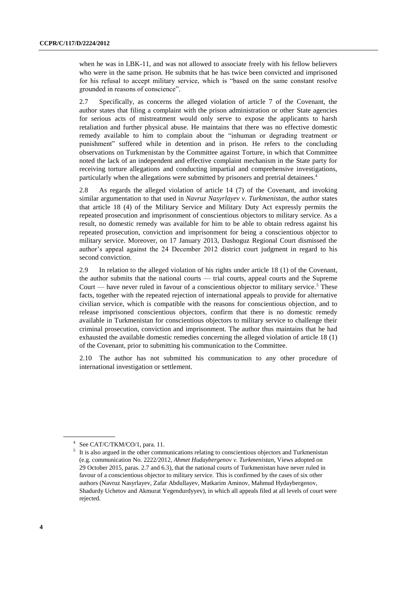when he was in LBK-11, and was not allowed to associate freely with his fellow believers who were in the same prison. He submits that he has twice been convicted and imprisoned for his refusal to accept military service, which is "based on the same constant resolve grounded in reasons of conscience".

2.7 Specifically, as concerns the alleged violation of article 7 of the Covenant, the author states that filing a complaint with the prison administration or other State agencies for serious acts of mistreatment would only serve to expose the applicants to harsh retaliation and further physical abuse. He maintains that there was no effective domestic remedy available to him to complain about the "inhuman or degrading treatment or punishment" suffered while in detention and in prison. He refers to the concluding observations on Turkmenistan by the Committee against Torture, in which that Committee noted the lack of an independent and effective complaint mechanism in the State party for receiving torture allegations and conducting impartial and comprehensive investigations, particularly when the allegations were submitted by prisoners and pretrial detainees.<sup>4</sup>

2.8 As regards the alleged violation of article 14 (7) of the Covenant, and invoking similar argumentation to that used in *Navruz Nasyrlayev v. Turkmenistan*, the author states that article 18 (4) of the Military Service and Military Duty Act expressly permits the repeated prosecution and imprisonment of conscientious objectors to military service. As a result, no domestic remedy was available for him to be able to obtain redress against his repeated prosecution, conviction and imprisonment for being a conscientious objector to military service. Moreover, on 17 January 2013, Dashoguz Regional Court dismissed the author's appeal against the 24 December 2012 district court judgment in regard to his second conviction.

2.9 In relation to the alleged violation of his rights under article 18 (1) of the Covenant, the author submits that the national courts — trial courts, appeal courts and the Supreme Court — have never ruled in favour of a conscientious objector to military service.<sup>5</sup> These facts, together with the repeated rejection of international appeals to provide for alternative civilian service, which is compatible with the reasons for conscientious objection, and to release imprisoned conscientious objectors, confirm that there is no domestic remedy available in Turkmenistan for conscientious objectors to military service to challenge their criminal prosecution, conviction and imprisonment. The author thus maintains that he had exhausted the available domestic remedies concerning the alleged violation of article 18 (1) of the Covenant, prior to submitting his communication to the Committee.

2.10 The author has not submitted his communication to any other procedure of international investigation or settlement.

<sup>4</sup> See CAT/C/TKM/CO/1, para. 11.

<sup>&</sup>lt;sup>5</sup> It is also argued in the other communications relating to conscientious objectors and Turkmenistan (e.g. communication No. 2222/2012, *Ahmet Hudaybergenov v. Turkmenistan*, Views adopted on 29 October 2015, paras. 2.7 and 6.3), that the national courts of Turkmenistan have never ruled in favour of a conscientious objector to military service. This is confirmed by the cases of six other authors (Navruz Nasyrlayev, Zafar Abdullayev, Matkarim Aminov, Mahmud Hydaybergenov, Shadurdy Uchetov and Akmurat Yegendurdyyev), in which all appeals filed at all levels of court were rejected.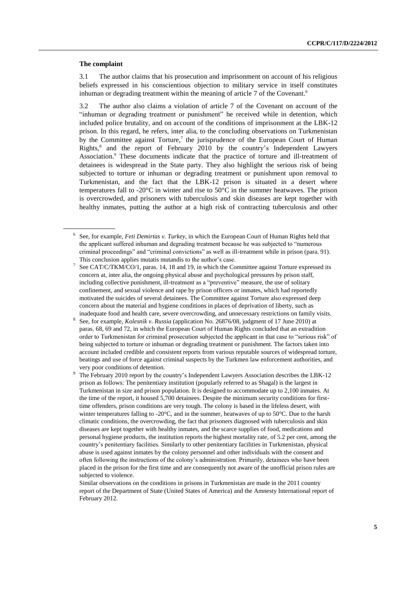#### **The complaint**

3.1 The author claims that his prosecution and imprisonment on account of his religious beliefs expressed in his conscientious objection to military service in itself constitutes inhuman or degrading treatment within the meaning of article 7 of the Covenant.<sup>6</sup>

3.2 The author also claims a violation of article 7 of the Covenant on account of the "inhuman or degrading treatment or punishment" he received while in detention, which included police brutality, and on account of the conditions of imprisonment at the LBK-12 prison. In this regard, he refers, inter alia, to the concluding observations on Turkmenistan by the Committee against Torture,<sup>7</sup> the jurisprudence of the European Court of Human Rights, 8 and the report of February 2010 by the country's Independent Lawyers Association.<sup>9</sup> These documents indicate that the practice of torture and ill-treatment of detainees is widespread in the State party. They also highlight the serious risk of being subjected to torture or inhuman or degrading treatment or punishment upon removal to Turkmenistan, and the fact that the LBK-12 prison is situated in a desert where temperatures fall to -20°C in winter and rise to 50°C in the summer heatwaves. The prison is overcrowded, and prisoners with tuberculosis and skin diseases are kept together with healthy inmates, putting the author at a high risk of contracting tuberculosis and other

<sup>6</sup> See, for example, *Feti Demirtas v. Turkey*, in which the European Court of Human Rights held that the applicant suffered inhuman and degrading treatment because he was subjected to "numerous criminal proceedings" and "criminal convictions" as well as ill-treatment while in prison (para. 91). This conclusion applies mutatis mutandis to the author's case.

<sup>7</sup> See CAT/C/TKM/CO/1, paras. 14, 18 and 19, in which the Committee against Torture expressed its concern at, inter alia, the ongoing physical abuse and psychological pressures by prison staff, including collective punishment, ill-treatment as a "preventive" measure, the use of solitary confinement, and sexual violence and rape by prison officers or inmates, which had reportedly motivated the suicides of several detainees. The Committee against Torture also expressed deep concern about the material and hygiene conditions in places of deprivation of liberty, such as inadequate food and health care, severe overcrowding, and unnecessary restrictions on family visits.

<sup>8</sup> See, for example, *Kolesnik v. Russia* (application No. 26876/08, judgment of 17 June 2010) at paras. 68, 69 and 72, in which the European Court of Human Rights concluded that an extradition order to Turkmenistan for criminal prosecution subjected the applicant in that case to "serious risk" of being subjected to torture or inhuman or degrading treatment or punishment. The factors taken into account included credible and consistent reports from various reputable sources of widespread torture, beatings and use of force against criminal suspects by the Turkmen law enforcement authorities, and very poor conditions of detention.

<sup>9</sup> The February 2010 report by the country's Independent Lawyers Association describes the LBK-12 prison as follows: The penitentiary institution (popularly referred to as Shagal) is the largest in Turkmenistan in size and prison population. It is designed to accommodate up to 2,100 inmates. At the time of the report, it housed 5,700 detainees. Despite the minimum security conditions for firsttime offenders, prison conditions are very tough. The colony is based in the lifeless desert, with winter temperatures falling to -20°C, and in the summer, heatwaves of up to 50°C. Due to the harsh climatic conditions, the overcrowding, the fact that prisoners diagnosed with tuberculosis and skin diseases are kept together with healthy inmates, and the scarce supplies of food, medications and personal hygiene products, the institution reports the highest mortality rate, of 5.2 per cent, among the country's penitentiary facilities. Similarly to other penitentiary facilities in Turkmenistan, physical abuse is used against inmates by the colony personnel and other individuals with the consent and often following the instructions of the colony's administration. Primarily, detainees who have been placed in the prison for the first time and are consequently not aware of the unofficial prison rules are subjected to violence.

Similar observations on the conditions in prisons in Turkmenistan are made in the 2011 country report of the Department of State (United States of America) and the Amnesty International report of February 2012.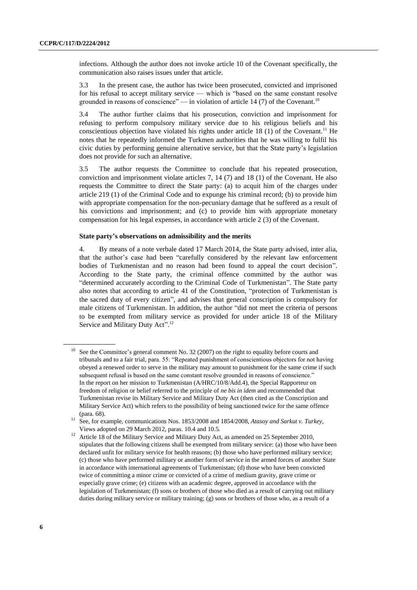infections. Although the author does not invoke article 10 of the Covenant specifically, the communication also raises issues under that article.

3.3 In the present case, the author has twice been prosecuted, convicted and imprisoned for his refusal to accept military service — which is "based on the same constant resolve grounded in reasons of conscience" — in violation of article 14 (7) of the Covenant.<sup>10</sup>

3.4 The author further claims that his prosecution, conviction and imprisonment for refusing to perform compulsory military service due to his religious beliefs and his conscientious objection have violated his rights under article 18 (1) of the Covenant.<sup>11</sup> He notes that he repeatedly informed the Turkmen authorities that he was willing to fulfil his civic duties by performing genuine alternative service, but that the State party's legislation does not provide for such an alternative.

3.5 The author requests the Committee to conclude that his repeated prosecution, conviction and imprisonment violate articles 7, 14 (7) and 18 (1) of the Covenant. He also requests the Committee to direct the State party: (a) to acquit him of the charges under article 219 (1) of the Criminal Code and to expunge his criminal record; (b) to provide him with appropriate compensation for the non-pecuniary damage that he suffered as a result of his convictions and imprisonment; and (c) to provide him with appropriate monetary compensation for his legal expenses, in accordance with article 2 (3) of the Covenant.

#### **State party's observations on admissibility and the merits**

4. By means of a note verbale dated 17 March 2014, the State party advised, inter alia, that the author's case had been "carefully considered by the relevant law enforcement bodies of Turkmenistan and no reason had been found to appeal the court decision". According to the State party, the criminal offence committed by the author was "determined accurately according to the Criminal Code of Turkmenistan". The State party also notes that according to article 41 of the Constitution, "protection of Turkmenistan is the sacred duty of every citizen", and advises that general conscription is compulsory for male citizens of Turkmenistan. In addition, the author "did not meet the criteria of persons to be exempted from military service as provided for under article 18 of the Military Service and Military Duty Act".<sup>12</sup>

<sup>&</sup>lt;sup>10</sup> See the Committee's general comment No. 32 (2007) on the right to equality before courts and tribunals and to a fair trial, para. 55: "Repeated punishment of conscientious objectors for not having obeyed a renewed order to serve in the military may amount to punishment for the same crime if such subsequent refusal is based on the same constant resolve grounded in reasons of conscience." In the report on her mission to Turkmenistan (A/HRC/10/8/Add.4), the Special Rapporteur on freedom of religion or belief referred to the principle of *ne bis in idem* and recommended that Turkmenistan revise its Military Service and Military Duty Act (then cited as the Conscription and Military Service Act) which refers to the possibility of being sanctioned twice for the same offence (para. 68).

<sup>11</sup> See, for example, communications Nos. 1853/2008 and 1854/2008, *Atasoy and Sarkut v. Turkey*, Views adopted on 29 March 2012, paras. 10.4 and 10.5.

<sup>&</sup>lt;sup>12</sup> Article 18 of the Military Service and Military Duty Act, as amended on 25 September 2010, stipulates that the following citizens shall be exempted from military service: (a) those who have been declared unfit for military service for health reasons; (b) those who have performed military service; (c) those who have performed military or another form of service in the armed forces of another State in accordance with international agreements of Turkmenistan; (d) those who have been convicted twice of committing a minor crime or convicted of a crime of medium gravity, grave crime or especially grave crime; (e) citizens with an academic degree, approved in accordance with the legislation of Turkmenistan; (f) sons or brothers of those who died as a result of carrying out military duties during military service or military training; (g) sons or brothers of those who, as a result of a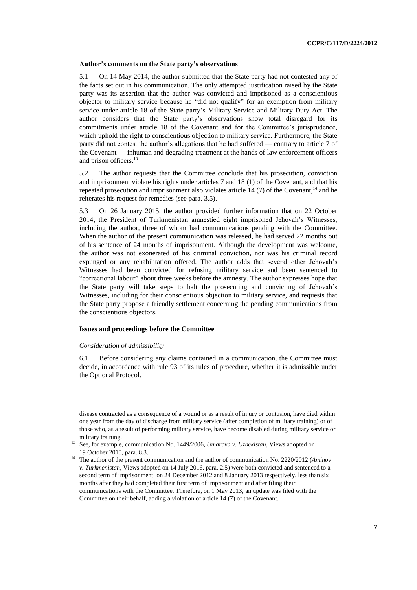#### **Author's comments on the State party's observations**

5.1 On 14 May 2014, the author submitted that the State party had not contested any of the facts set out in his communication. The only attempted justification raised by the State party was its assertion that the author was convicted and imprisoned as a conscientious objector to military service because he "did not qualify" for an exemption from military service under article 18 of the State party's Military Service and Military Duty Act. The author considers that the State party's observations show total disregard for its commitments under article 18 of the Covenant and for the Committee's jurisprudence, which uphold the right to conscientious objection to military service. Furthermore, the State party did not contest the author's allegations that he had suffered — contrary to article 7 of the Covenant — inhuman and degrading treatment at the hands of law enforcement officers and prison officers.<sup>13</sup>

5.2 The author requests that the Committee conclude that his prosecution, conviction and imprisonment violate his rights under articles 7 and 18 (1) of the Covenant, and that his repeated prosecution and imprisonment also violates article 14  $(7)$  of the Covenant,<sup>14</sup> and he reiterates his request for remedies (see para. 3.5).

5.3 On 26 January 2015, the author provided further information that on 22 October 2014, the President of Turkmenistan amnestied eight imprisoned Jehovah's Witnesses, including the author, three of whom had communications pending with the Committee. When the author of the present communication was released, he had served 22 months out of his sentence of 24 months of imprisonment. Although the development was welcome, the author was not exonerated of his criminal conviction, nor was his criminal record expunged or any rehabilitation offered. The author adds that several other Jehovah's Witnesses had been convicted for refusing military service and been sentenced to "correctional labour" about three weeks before the amnesty. The author expresses hope that the State party will take steps to halt the prosecuting and convicting of Jehovah's Witnesses, including for their conscientious objection to military service, and requests that the State party propose a friendly settlement concerning the pending communications from the conscientious objectors.

#### **Issues and proceedings before the Committee**

#### *Consideration of admissibility*

6.1 Before considering any claims contained in a communication, the Committee must decide, in accordance with rule 93 of its rules of procedure, whether it is admissible under the Optional Protocol.

disease contracted as a consequence of a wound or as a result of injury or contusion, have died within one year from the day of discharge from military service (after completion of military training) or of those who, as a result of performing military service, have become disabled during military service or military training.

<sup>13</sup> See, for example, communication No. 1449/2006, *Umarova v. Uzbekistan*, Views adopted on 19 October 2010, para. 8.3.

<sup>14</sup> The author of the present communication and the author of communication No. 2220/2012 (*Aminov v. Turkmenistan*, Views adopted on 14 July 2016, para. 2.5) were both convicted and sentenced to a second term of imprisonment, on 24 December 2012 and 8 January 2013 respectively, less than six months after they had completed their first term of imprisonment and after filing their communications with the Committee. Therefore, on 1 May 2013, an update was filed with the Committee on their behalf, adding a violation of article 14 (7) of the Covenant.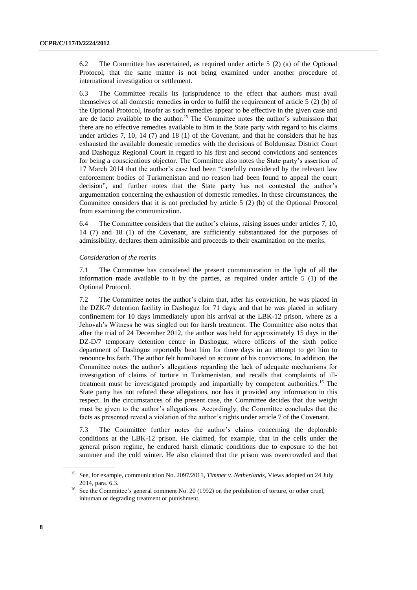6.2 The Committee has ascertained, as required under article 5 (2) (a) of the Optional Protocol, that the same matter is not being examined under another procedure of international investigation or settlement.

6.3 The Committee recalls its jurisprudence to the effect that authors must avail themselves of all domestic remedies in order to fulfil the requirement of article 5 (2) (b) of the Optional Protocol, insofar as such remedies appear to be effective in the given case and are de facto available to the author.<sup>15</sup> The Committee notes the author's submission that there are no effective remedies available to him in the State party with regard to his claims under articles 7, 10, 14 (7) and 18 (1) of the Covenant, and that he considers that he has exhausted the available domestic remedies with the decisions of Boldumsaz District Court and Dashoguz Regional Court in regard to his first and second convictions and sentences for being a conscientious objector. The Committee also notes the State party's assertion of 17 March 2014 that the author's case had been "carefully considered by the relevant law enforcement bodies of Turkmenistan and no reason had been found to appeal the court decision", and further notes that the State party has not contested the author's argumentation concerning the exhaustion of domestic remedies. In these circumstances, the Committee considers that it is not precluded by article 5 (2) (b) of the Optional Protocol from examining the communication.

6.4 The Committee considers that the author's claims, raising issues under articles 7, 10, 14 (7) and 18 (1) of the Covenant, are sufficiently substantiated for the purposes of admissibility, declares them admissible and proceeds to their examination on the merits.

#### *Consideration of the merits*

7.1 The Committee has considered the present communication in the light of all the information made available to it by the parties, as required under article 5 (1) of the Optional Protocol.

7.2 The Committee notes the author's claim that, after his conviction, he was placed in the DZK-7 detention facility in Dashoguz for 71 days, and that he was placed in solitary confinement for 10 days immediately upon his arrival at the LBK-12 prison, where as a Jehovah's Witness he was singled out for harsh treatment. The Committee also notes that after the trial of 24 December 2012, the author was held for approximately 15 days in the DZ-D/7 temporary detention centre in Dashoguz, where officers of the sixth police department of Dashoguz reportedly beat him for three days in an attempt to get him to renounce his faith. The author felt humiliated on account of his convictions. In addition, the Committee notes the author's allegations regarding the lack of adequate mechanisms for investigation of claims of torture in Turkmenistan, and recalls that complaints of illtreatment must be investigated promptly and impartially by competent authorities.<sup>16</sup> The State party has not refuted these allegations, nor has it provided any information in this respect. In the circumstances of the present case, the Committee decides that due weight must be given to the author's allegations. Accordingly, the Committee concludes that the facts as presented reveal a violation of the author's rights under article 7 of the Covenant.

7.3 The Committee further notes the author's claims concerning the deplorable conditions at the LBK-12 prison. He claimed, for example, that in the cells under the general prison regime, he endured harsh climatic conditions due to exposure to the hot summer and the cold winter. He also claimed that the prison was overcrowded and that

<sup>15</sup> See, for example, communication No. 2097/2011, *Timmer v. Netherlands*, Views adopted on 24 July 2014, para. 6.3.

<sup>&</sup>lt;sup>16</sup> See the Committee's general comment No. 20 (1992) on the prohibition of torture, or other cruel, inhuman or degrading treatment or punishment.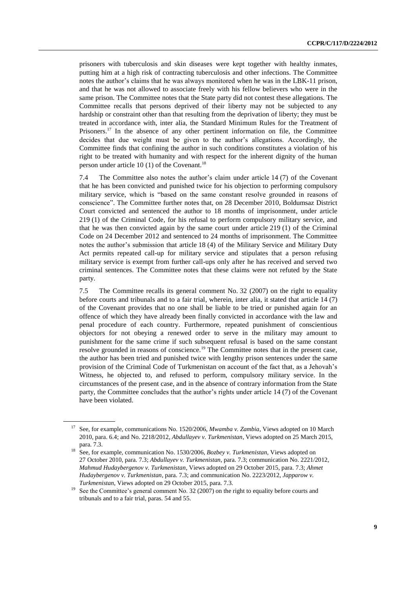prisoners with tuberculosis and skin diseases were kept together with healthy inmates, putting him at a high risk of contracting tuberculosis and other infections. The Committee notes the author's claims that he was always monitored when he was in the LBK-11 prison, and that he was not allowed to associate freely with his fellow believers who were in the same prison. The Committee notes that the State party did not contest these allegations. The Committee recalls that persons deprived of their liberty may not be subjected to any hardship or constraint other than that resulting from the deprivation of liberty; they must be treated in accordance with, inter alia, the Standard Minimum Rules for the Treatment of Prisoners.<sup>17</sup> In the absence of any other pertinent information on file, the Committee decides that due weight must be given to the author's allegations. Accordingly, the Committee finds that confining the author in such conditions constitutes a violation of his right to be treated with humanity and with respect for the inherent dignity of the human person under article 10  $(1)$  of the Covenant.<sup>18</sup>

7.4 The Committee also notes the author's claim under article 14 (7) of the Covenant that he has been convicted and punished twice for his objection to performing compulsory military service, which is "based on the same constant resolve grounded in reasons of conscience". The Committee further notes that, on 28 December 2010, Boldumsaz District Court convicted and sentenced the author to 18 months of imprisonment, under article 219 (1) of the Criminal Code, for his refusal to perform compulsory military service, and that he was then convicted again by the same court under article 219 (1) of the Criminal Code on 24 December 2012 and sentenced to 24 months of imprisonment. The Committee notes the author's submission that article 18 (4) of the Military Service and Military Duty Act permits repeated call-up for military service and stipulates that a person refusing military service is exempt from further call-ups only after he has received and served two criminal sentences. The Committee notes that these claims were not refuted by the State party.

7.5 The Committee recalls its general comment No. 32 (2007) on the right to equality before courts and tribunals and to a fair trial, wherein, inter alia, it stated that article 14 (7) of the Covenant provides that no one shall be liable to be tried or punished again for an offence of which they have already been finally convicted in accordance with the law and penal procedure of each country. Furthermore, repeated punishment of conscientious objectors for not obeying a renewed order to serve in the military may amount to punishment for the same crime if such subsequent refusal is based on the same constant resolve grounded in reasons of conscience.<sup>19</sup> The Committee notes that in the present case, the author has been tried and punished twice with lengthy prison sentences under the same provision of the Criminal Code of Turkmenistan on account of the fact that, as a Jehovah's Witness, he objected to, and refused to perform, compulsory military service. In the circumstances of the present case, and in the absence of contrary information from the State party, the Committee concludes that the author's rights under article 14 (7) of the Covenant have been violated.

<sup>17</sup> See, for example, communications No. 1520/2006, *Mwamba v. Zambia*, Views adopted on 10 March 2010, para. 6.4; and No. 2218/2012, *Abdullayev v. Turkmenistan*, Views adopted on 25 March 2015, para. 7.3.

<sup>18</sup> See, for example, communication No. 1530/2006, *Bozbey v. Turkmenistan*, Views adopted on 27 October 2010, para. 7.3; *Abdullayev v. Turkmenistan*, para. 7.3; communication No. 2221/2012, *Mahmud Hudaybergenov v. Turkmenistan*, Views adopted on 29 October 2015, para. 7.3; *Ahmet Hudaybergenov v. Turkmenistan*, para. 7.3; and communication No. 2223/2012, *Japparow v. Turkmenistan*, Views adopted on 29 October 2015, para. 7.3.

<sup>&</sup>lt;sup>19</sup> See the Committee's general comment No. 32 (2007) on the right to equality before courts and tribunals and to a fair trial, paras. 54 and 55.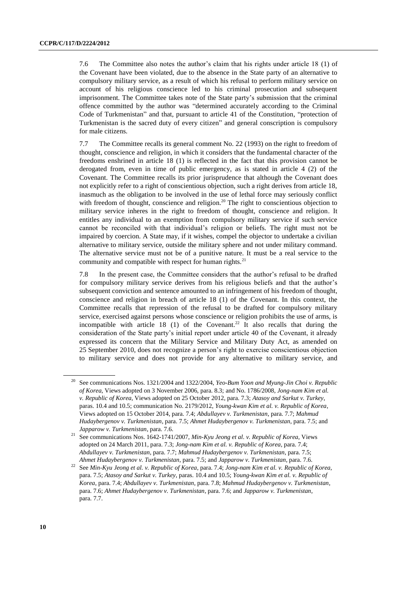7.6 The Committee also notes the author's claim that his rights under article 18 (1) of the Covenant have been violated, due to the absence in the State party of an alternative to compulsory military service, as a result of which his refusal to perform military service on account of his religious conscience led to his criminal prosecution and subsequent imprisonment. The Committee takes note of the State party's submission that the criminal offence committed by the author was "determined accurately according to the Criminal Code of Turkmenistan" and that, pursuant to article 41 of the Constitution, "protection of Turkmenistan is the sacred duty of every citizen" and general conscription is compulsory for male citizens.

7.7 The Committee recalls its general comment No. 22 (1993) on the right to freedom of thought, conscience and religion, in which it considers that the fundamental character of the freedoms enshrined in article 18 (1) is reflected in the fact that this provision cannot be derogated from, even in time of public emergency, as is stated in article 4 (2) of the Covenant. The Committee recalls its prior jurisprudence that although the Covenant does not explicitly refer to a right of conscientious objection, such a right derives from article 18, inasmuch as the obligation to be involved in the use of lethal force may seriously conflict with freedom of thought, conscience and religion.<sup>20</sup> The right to conscientious objection to military service inheres in the right to freedom of thought, conscience and religion. It entitles any individual to an exemption from compulsory military service if such service cannot be reconciled with that individual's religion or beliefs. The right must not be impaired by coercion. A State may, if it wishes, compel the objector to undertake a civilian alternative to military service, outside the military sphere and not under military command. The alternative service must not be of a punitive nature. It must be a real service to the community and compatible with respect for human rights. $2<sup>1</sup>$ 

7.8 In the present case, the Committee considers that the author's refusal to be drafted for compulsory military service derives from his religious beliefs and that the author's subsequent conviction and sentence amounted to an infringement of his freedom of thought, conscience and religion in breach of article 18 (1) of the Covenant. In this context, the Committee recalls that repression of the refusal to be drafted for compulsory military service, exercised against persons whose conscience or religion prohibits the use of arms, is incompatible with article 18 (1) of the Covenant.<sup>22</sup> It also recalls that during the consideration of the State party's initial report under article 40 of the Covenant, it already expressed its concern that the Military Service and Military Duty Act, as amended on 25 September 2010, does not recognize a person's right to exercise conscientious objection to military service and does not provide for any alternative to military service, and

<sup>20</sup> See communications Nos. 1321/2004 and 1322/2004, *Yeo-Bum Yoon and Myung-Jin Choi v. Republic of Korea*, Views adopted on 3 November 2006, para. 8.3; and No. 1786/2008, *Jong-nam Kim et al. v. Republic of Korea*, Views adopted on 25 October 2012, para. 7.3; *Atasoy and Sarkut v. Turkey*, paras. 10.4 and 10.5; communication No. 2179/2012, *Young-kwan Kim et al. v. Republic of Korea*, Views adopted on 15 October 2014, para. 7.4; *Abdullayev v. Turkmenistan*, para. 7.7; *Mahmud Hudaybergenov v. Turkmenistan*, para. 7.5; *Ahmet Hudaybergenov v. Turkmenistan*, para. 7.5; and *Japparow v. Turkmenistan*, para. 7.6.

<sup>21</sup> See communications Nos. 1642-1741/2007, *Min-Kyu Jeong et al. v. Republic of Korea*, Views adopted on 24 March 2011, para. 7.3; *Jong-nam Kim et al. v. Republic of Korea*, para. 7.4; *Abdullayev v. Turkmenistan*, para. 7.7; *Mahmud Hudaybergenov v. Turkmenistan*, para. 7.5; *Ahmet Hudaybergenov v. Turkmenistan*, para. 7.5; and *Japparow v. Turkmenistan*, para. 7.6.

<sup>22</sup> See *Min-Kyu Jeong et al. v. Republic of Korea*, para. 7.4; *Jong-nam Kim et al. v. Republic of Korea*, para. 7.5; *Atasoy and Sarkut v. Turkey*, paras. 10.4 and 10.5; *Young-kwan Kim et al. v. Republic of Korea*, para. 7.4; *Abdullayev v. Turkmenistan*, para. 7.8; *Mahmud Hudaybergenov v. Turkmenistan*, para. 7.6; *Ahmet Hudaybergenov v. Turkmenistan*, para. 7.6; and *Japparow v. Turkmenistan*, para. 7.7.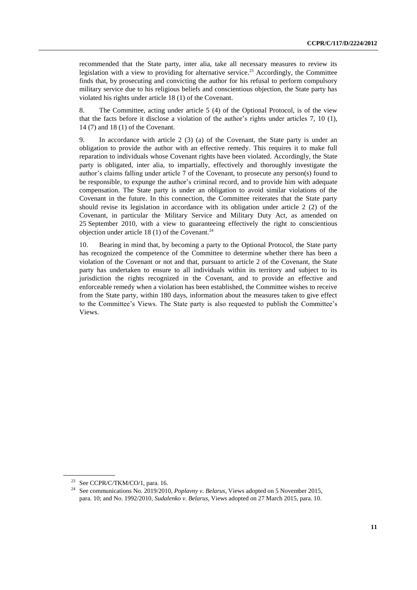recommended that the State party, inter alia, take all necessary measures to review its legislation with a view to providing for alternative service.<sup>23</sup> Accordingly, the Committee finds that, by prosecuting and convicting the author for his refusal to perform compulsory military service due to his religious beliefs and conscientious objection, the State party has violated his rights under article 18 (1) of the Covenant.

8. The Committee, acting under article 5 (4) of the Optional Protocol, is of the view that the facts before it disclose a violation of the author's rights under articles 7, 10 (1), 14 (7) and 18 (1) of the Covenant.

9. In accordance with article 2 (3) (a) of the Covenant, the State party is under an obligation to provide the author with an effective remedy. This requires it to make full reparation to individuals whose Covenant rights have been violated. Accordingly, the State party is obligated, inter alia, to impartially, effectively and thoroughly investigate the author's claims falling under article 7 of the Covenant, to prosecute any person(s) found to be responsible, to expunge the author's criminal record, and to provide him with adequate compensation. The State party is under an obligation to avoid similar violations of the Covenant in the future. In this connection, the Committee reiterates that the State party should revise its legislation in accordance with its obligation under article 2 (2) of the Covenant, in particular the Military Service and Military Duty Act, as amended on 25 September 2010, with a view to guaranteeing effectively the right to conscientious objection under article 18 (1) of the Covenant.<sup>24</sup>

10. Bearing in mind that, by becoming a party to the Optional Protocol, the State party has recognized the competence of the Committee to determine whether there has been a violation of the Covenant or not and that, pursuant to article 2 of the Covenant, the State party has undertaken to ensure to all individuals within its territory and subject to its jurisdiction the rights recognized in the Covenant, and to provide an effective and enforceable remedy when a violation has been established, the Committee wishes to receive from the State party, within 180 days, information about the measures taken to give effect to the Committee's Views. The State party is also requested to publish the Committee's Views.

<sup>&</sup>lt;sup>23</sup> See CCPR/C/TKM/CO/1, para. 16.

<sup>24</sup> See communications No. 2019/2010, *Poplavny v. Belarus*, Views adopted on 5 November 2015, para. 10; and No. 1992/2010, *Sudalenko v. Belarus*, Views adopted on 27 March 2015, para. 10.